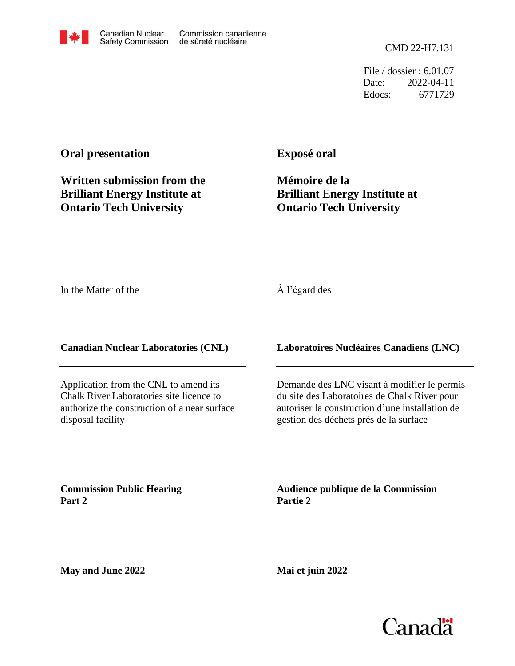CMD 22-H7.131

File / dossier : 6.01.07 Date: 2022-04-11 Edocs: 6771729

## **Oral presentation**

**Written submission from the Brilliant Energy Institute at Ontario Tech University**

**Exposé oral**

**Mémoire de la Brilliant Energy Institute at Ontario Tech University**

In the Matter of the

## À l'égard des

**Canadian Nuclear Laboratories (CNL)**

Application from the CNL to amend its Chalk River Laboratories site licence to authorize the construction of a near surface disposal facility

## **Laboratoires Nucléaires Canadiens (LNC)**

Demande des LNC visant à modifier le permis du site des Laboratoires de Chalk River pour autoriser la construction d'une installation de gestion des déchets près de la surface

**Commission Public Hearing Part 2**

**Audience publique de la Commission Partie 2**

**May and June 2022**

**Mai et juin 2022**

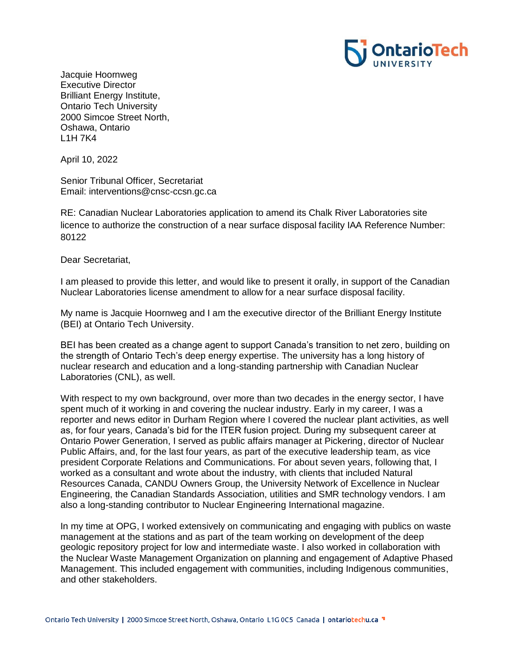

Jacquie Hoornweg Executive Director Brilliant Energy Institute, Ontario Tech University 2000 Simcoe Street North, Oshawa, Ontario L1H 7K4

April 10, 2022

Senior Tribunal Officer, Secretariat Email: interventions@cnsc-ccsn.gc.ca

RE: Canadian Nuclear Laboratories application to amend its Chalk River Laboratories site licence to authorize the construction of a near surface disposal facility IAA Reference Number: 80122

Dear Secretariat,

I am pleased to provide this letter, and would like to present it orally, in support of the Canadian Nuclear Laboratories license amendment to allow for a near surface disposal facility.

My name is Jacquie Hoornweg and I am the executive director of the Brilliant Energy Institute (BEI) at Ontario Tech University.

BEI has been created as a change agent to support Canada's transition to net zero, building on the strength of Ontario Tech's deep energy expertise. The university has a long history of nuclear research and education and a long-standing partnership with Canadian Nuclear Laboratories (CNL), as well.

With respect to my own background, over more than two decades in the energy sector, I have spent much of it working in and covering the nuclear industry. Early in my career, I was a reporter and news editor in Durham Region where I covered the nuclear plant activities, as well as, for four years, Canada's bid for the ITER fusion project. During my subsequent career at Ontario Power Generation, I served as public affairs manager at Pickering, director of Nuclear Public Affairs, and, for the last four years, as part of the executive leadership team, as vice president Corporate Relations and Communications. For about seven years, following that, I worked as a consultant and wrote about the industry, with clients that included Natural Resources Canada, CANDU Owners Group, the University Network of Excellence in Nuclear Engineering, the Canadian Standards Association, utilities and SMR technology vendors. I am also a long-standing contributor to Nuclear Engineering International magazine.

In my time at OPG, I worked extensively on communicating and engaging with publics on waste management at the stations and as part of the team working on development of the deep geologic repository project for low and intermediate waste. I also worked in collaboration with the Nuclear Waste Management Organization on planning and engagement of Adaptive Phased Management. This included engagement with communities, including Indigenous communities, and other stakeholders.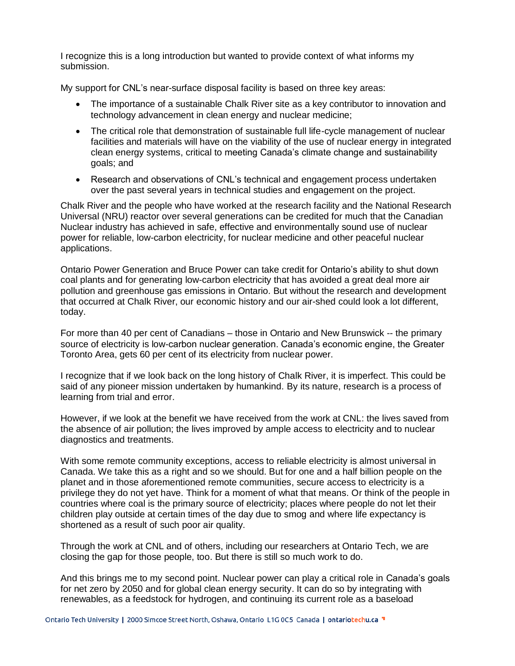I recognize this is a long introduction but wanted to provide context of what informs my submission.

My support for CNL's near-surface disposal facility is based on three key areas:

- The importance of a sustainable Chalk River site as a key contributor to innovation and technology advancement in clean energy and nuclear medicine;
- The critical role that demonstration of sustainable full life-cycle management of nuclear facilities and materials will have on the viability of the use of nuclear energy in integrated clean energy systems, critical to meeting Canada's climate change and sustainability goals; and
- Research and observations of CNL's technical and engagement process undertaken over the past several years in technical studies and engagement on the project.

Chalk River and the people who have worked at the research facility and the National Research Universal (NRU) reactor over several generations can be credited for much that the Canadian Nuclear industry has achieved in safe, effective and environmentally sound use of nuclear power for reliable, low-carbon electricity, for nuclear medicine and other peaceful nuclear applications.

Ontario Power Generation and Bruce Power can take credit for Ontario's ability to shut down coal plants and for generating low-carbon electricity that has avoided a great deal more air pollution and greenhouse gas emissions in Ontario. But without the research and development that occurred at Chalk River, our economic history and our air-shed could look a lot different, today.

For more than 40 per cent of Canadians – those in Ontario and New Brunswick -- the primary source of electricity is low-carbon nuclear generation. Canada's economic engine, the Greater Toronto Area, gets 60 per cent of its electricity from nuclear power.

I recognize that if we look back on the long history of Chalk River, it is imperfect. This could be said of any pioneer mission undertaken by humankind. By its nature, research is a process of learning from trial and error.

However, if we look at the benefit we have received from the work at CNL: the lives saved from the absence of air pollution; the lives improved by ample access to electricity and to nuclear diagnostics and treatments.

With some remote community exceptions, access to reliable electricity is almost universal in Canada. We take this as a right and so we should. But for one and a half billion people on the planet and in those aforementioned remote communities, secure access to electricity is a privilege they do not yet have. Think for a moment of what that means. Or think of the people in countries where coal is the primary source of electricity; places where people do not let their children play outside at certain times of the day due to smog and where life expectancy is shortened as a result of such poor air quality.

Through the work at CNL and of others, including our researchers at Ontario Tech, we are closing the gap for those people, too. But there is still so much work to do.

And this brings me to my second point. Nuclear power can play a critical role in Canada's goals for net zero by 2050 and for global clean energy security. It can do so by integrating with renewables, as a feedstock for hydrogen, and continuing its current role as a baseload